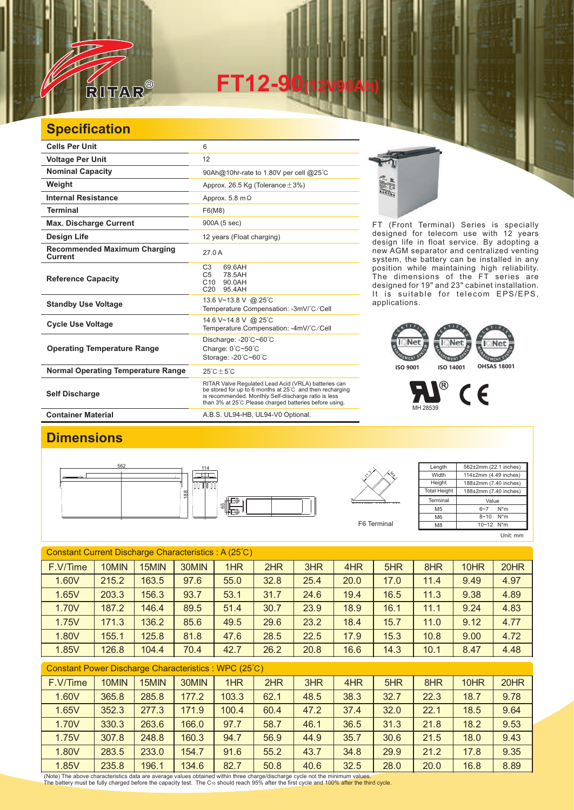

**FT12-90(12V90Ah)** 

## **Specification**

| <b>Cells Per Unit</b>                                 | 6                                                                                                                                                                                                                                   |  |  |  |  |  |
|-------------------------------------------------------|-------------------------------------------------------------------------------------------------------------------------------------------------------------------------------------------------------------------------------------|--|--|--|--|--|
| <b>Voltage Per Unit</b>                               | 12                                                                                                                                                                                                                                  |  |  |  |  |  |
| <b>Nominal Capacity</b>                               | 90Ah@10hr-rate to 1.80V per cell @25°C                                                                                                                                                                                              |  |  |  |  |  |
| Weight                                                | Approx. 26.5 Kg (Tolerance $\pm$ 3%)                                                                                                                                                                                                |  |  |  |  |  |
| <b>Internal Resistance</b>                            | Approx. 5.8 m $\Omega$                                                                                                                                                                                                              |  |  |  |  |  |
| <b>Terminal</b>                                       | F6(M8)                                                                                                                                                                                                                              |  |  |  |  |  |
| <b>Max. Discharge Current</b>                         | 900A (5 sec)                                                                                                                                                                                                                        |  |  |  |  |  |
| Design Life                                           | 12 years (Float charging)                                                                                                                                                                                                           |  |  |  |  |  |
| <b>Recommended Maximum Charging</b><br><b>Current</b> | 27.0 A                                                                                                                                                                                                                              |  |  |  |  |  |
| <b>Reference Capacity</b>                             | C <sub>3</sub><br>69.6AH<br>C <sub>5</sub><br>78.5AH<br>C <sub>10</sub><br>90.0AH<br>95.4AH<br>C <sub>20</sub>                                                                                                                      |  |  |  |  |  |
| <b>Standby Use Voltage</b>                            | 13.6 V~13.8 V @ 25°C<br>Temperature Compensation: -3mV/°C/Cell                                                                                                                                                                      |  |  |  |  |  |
| <b>Cycle Use Voltage</b>                              | 14.6 V~14.8 V @ 25°C<br>Temperature Compensation: -4mV/°C/Cell                                                                                                                                                                      |  |  |  |  |  |
| <b>Operating Temperature Range</b>                    | Discharge: -20°C~60°C<br>Charge: $0^{\circ}$ C $\sim$ 50 $^{\circ}$ C<br>Storage: - 20°C~60°C                                                                                                                                       |  |  |  |  |  |
| <b>Normal Operating Temperature Range</b>             | $25^{\circ}$ C $\pm 5^{\circ}$ C                                                                                                                                                                                                    |  |  |  |  |  |
| <b>Self Discharge</b>                                 | RITAR Valve Regulated Lead Acid (VRLA) batteries can<br>be stored for up to 6 months at 25°C and then recharging<br>is recommended. Monthly Self-discharge ratio is less<br>than 3% at 25°C. Please charged batteries before using. |  |  |  |  |  |
| <b>Container Material</b>                             | A.B.S. UL94-HB, UL94-V0 Optional.                                                                                                                                                                                                   |  |  |  |  |  |



FT (Front Terminal) Series is specially designed for telecom use with 12 years design life in float service. By adopting a new AGM separator and centralized venting system, the battery can be installed in any position while maintaining high reliability. The dimensions of the FT series are designed for 19" and 23" cabinet installation. It is suitable for telecom EPS/EPS, applications.

## **ISO 9001 ISO 14001 OHSAS 18001**

 $^{\circledR}$  $\epsilon$ MH 28539

## **Dimensions**





F6 Terminal

| Length              | 562±2mm (22.1 inches) |  |  |  |  |  |
|---------------------|-----------------------|--|--|--|--|--|
| Width               | 114±2mm (4.49 inches) |  |  |  |  |  |
| Height              | 188±2mm (7.40 inches) |  |  |  |  |  |
| <b>Total Height</b> | 188±2mm (7.40 inches) |  |  |  |  |  |
| Terminal            | Value                 |  |  |  |  |  |
| M <sub>5</sub>      | $N^*m$<br>$6 - 7$     |  |  |  |  |  |
| M <sub>6</sub>      | N*m<br>$8 - 10$       |  |  |  |  |  |
| M <sub>8</sub>      | 10~12 N*m             |  |  |  |  |  |
|                     | Unit: mm              |  |  |  |  |  |

Constant Current Discharge Characteristics : A (25℃) F.V/Time | 10MIN | 15MIN | 30MIN | 1HR | 2HR | 3HR | 4HR | 5HR | 8HR | 10HR | 20HR 1.60V | 215.2 | 163.5 | 97.6 | 55.0 | 32.8 | 25.4 | 20.0 | 17.0 | 11.4 | 9.49 | 4.97 1.65V | 203.3 | 156.3 | 93.7 | 53.1 | 31.7 | 24.6 | 19.4 | 16.5 | 11.3 | 9.38 | 4.89 1.70V | 187.2 | 146.4 | 89.5 | 51.4 | 30.7 | 23.9 | 18.9 | 16.1 | 11.1 | 9.24 | 4.83 1.75V | 171.3 | 136.2 | 85.6 | 49.5 | 29.6 | 23.2 | 18.4 | 15.7 | 11.0 | 9.12 | 4.77 1.80V 155.1 125.8 81.8 47.6 28.5 22.5 17.9 15.3 10.8 9.00 4.72 1.85V 126.8 104.4 70.4 42.7 26.2 20.8 16.6 14.3 10.1 8.47 4.48

| Constant Power Discharge Characteristics : WPC (25°C) |       |       |       |       |      |      |      |      |      |      |      |
|-------------------------------------------------------|-------|-------|-------|-------|------|------|------|------|------|------|------|
| F.V/Time                                              | 10MIN | 15MIN | 30MIN | 1HR   | 2HR  | 3HR  | 4HR  | 5HR  | 8HR  | 10HR | 20HR |
| 1.60V                                                 | 365.8 | 285.8 | 177.2 | 103.3 | 62.1 | 48.5 | 38.3 | 32.7 | 22.3 | 18.7 | 9.78 |
| 1.65V                                                 | 352.3 | 277.3 | 171.9 | 100.4 | 60.4 | 47.2 | 37.4 | 32.0 | 22.1 | 18.5 | 9.64 |
| 1.70V                                                 | 330.3 | 263.6 | 166.0 | 97.7  | 58.7 | 46.1 | 36.5 | 31.3 | 21.8 | 18.2 | 9.53 |
| 1.75V                                                 | 307.8 | 248.8 | 160.3 | 94.7  | 56.9 | 44.9 | 35.7 | 30.6 | 21.5 | 18.0 | 9.43 |
| 1.80V                                                 | 283.5 | 233.0 | 154.7 | 91.6  | 55.2 | 43.7 | 34.8 | 29.9 | 21.2 | 17.8 | 9.35 |
| 1.85V                                                 | 235.8 | 196.1 | 134.6 | 82.7  | 50.8 | 40.6 | 32.5 | 28.0 | 20.0 | 16.8 | 8.89 |

(Note) The above characteristics data are average values obtained within three charge/discharge cycle not the minimum values.<br>The battery must be fully charged before the capacity test. The Cю should reach 95% after the f